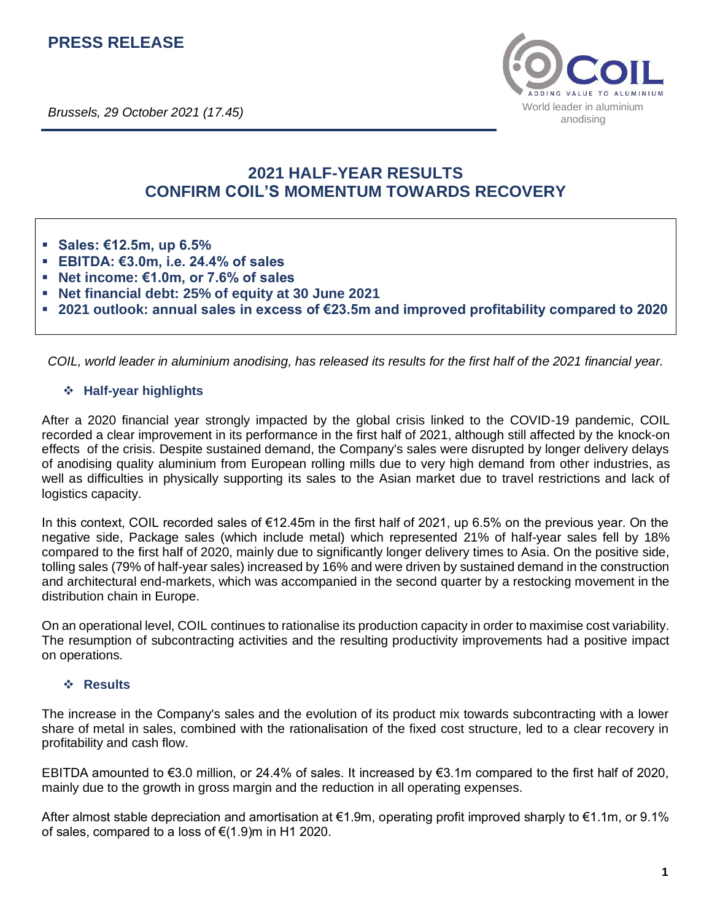# **PRESS RELEASE**



# **2021 HALF-YEAR RESULTS CONFIRM COIL'S MOMENTUM TOWARDS RECOVERY**

- **Sales: €12.5m, up 6.5%**
- **EBITDA: €3.0m, i.e. 24.4% of sales**
- **Net income: €1.0m, or 7.6% of sales**
- **Net financial debt: 25% of equity at 30 June 2021**
- 2021 outlook: annual sales in excess of €23.5m and improved profitability compared to 2020

*COIL, world leader in aluminium anodising, has released its results for the first half of the 2021 financial year.*

#### ❖ **Half-year highlights**

After a 2020 financial year strongly impacted by the global crisis linked to the COVID-19 pandemic, COIL recorded a clear improvement in its performance in the first half of 2021, although still affected by the knock-on effects of the crisis. Despite sustained demand, the Company's sales were disrupted by longer delivery delays of anodising quality aluminium from European rolling mills due to very high demand from other industries, as well as difficulties in physically supporting its sales to the Asian market due to travel restrictions and lack of logistics capacity.

In this context, COIL recorded sales of €12.45m in the first half of 2021, up 6.5% on the previous year. On the negative side, Package sales (which include metal) which represented 21% of half-year sales fell by 18% compared to the first half of 2020, mainly due to significantly longer delivery times to Asia. On the positive side, tolling sales (79% of half-year sales) increased by 16% and were driven by sustained demand in the construction and architectural end-markets, which was accompanied in the second quarter by a restocking movement in the distribution chain in Europe.

On an operational level, COIL continues to rationalise its production capacity in order to maximise cost variability. The resumption of subcontracting activities and the resulting productivity improvements had a positive impact on operations.

#### ❖ **Results**

The increase in the Company's sales and the evolution of its product mix towards subcontracting with a lower share of metal in sales, combined with the rationalisation of the fixed cost structure, led to a clear recovery in profitability and cash flow.

EBITDA amounted to €3.0 million, or 24.4% of sales. It increased by €3.1m compared to the first half of 2020, mainly due to the growth in gross margin and the reduction in all operating expenses.

After almost stable depreciation and amortisation at €1.9m, operating profit improved sharply to €1.1m, or 9.1% of sales, compared to a loss of  $\epsilon$ (1.9)m in H1 2020.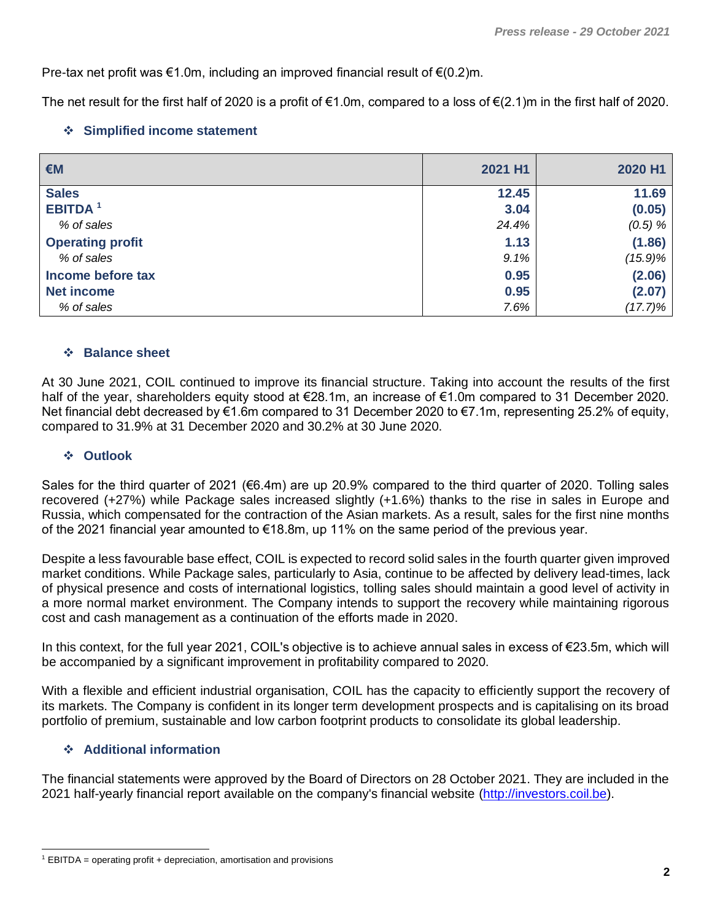Pre-tax net profit was €1.0m, including an improved financial result of  $€(0.2)$ m.

The net result for the first half of 2020 is a profit of  $\epsilon$ 1.0m, compared to a loss of  $\epsilon$ (2.1)m in the first half of 2020.

## ❖ **Simplified income statement**

| €M                        | 2021 H1 | 2020 H1    |
|---------------------------|---------|------------|
| <b>Sales</b>              | 12.45   | 11.69      |
| <b>EBITDA<sup>1</sup></b> | 3.04    | (0.05)     |
| % of sales                | 24.4%   | $(0.5) \%$ |
| <b>Operating profit</b>   | 1.13    | (1.86)     |
| % of sales                | 9.1%    | $(15.9)\%$ |
| Income before tax         | 0.95    | (2.06)     |
| <b>Net income</b>         | 0.95    | (2.07)     |
| % of sales                | 7.6%    | $(17.7)\%$ |

## ❖ **Balance sheet**

At 30 June 2021, COIL continued to improve its financial structure. Taking into account the results of the first half of the year, shareholders equity stood at €28.1m, an increase of €1.0m compared to 31 December 2020. Net financial debt decreased by €1.6m compared to 31 December 2020 to €7.1m, representing 25.2% of equity, compared to 31.9% at 31 December 2020 and 30.2% at 30 June 2020.

### ❖ **Outlook**

Sales for the third quarter of 2021 (€6.4m) are up 20.9% compared to the third quarter of 2020. Tolling sales recovered (+27%) while Package sales increased slightly (+1.6%) thanks to the rise in sales in Europe and Russia, which compensated for the contraction of the Asian markets. As a result, sales for the first nine months of the 2021 financial year amounted to €18.8m, up 11% on the same period of the previous year.

Despite a less favourable base effect, COIL is expected to record solid sales in the fourth quarter given improved market conditions. While Package sales, particularly to Asia, continue to be affected by delivery lead-times, lack of physical presence and costs of international logistics, tolling sales should maintain a good level of activity in a more normal market environment. The Company intends to support the recovery while maintaining rigorous cost and cash management as a continuation of the efforts made in 2020.

In this context, for the full year 2021, COIL's objective is to achieve annual sales in excess of €23.5m, which will be accompanied by a significant improvement in profitability compared to 2020.

With a flexible and efficient industrial organisation, COIL has the capacity to efficiently support the recovery of its markets. The Company is confident in its longer term development prospects and is capitalising on its broad portfolio of premium, sustainable and low carbon footprint products to consolidate its global leadership.

## ❖ **Additional information**

The financial statements were approved by the Board of Directors on 28 October 2021. They are included in the 2021 half-yearly financial report available on the company's financial website [\(http://investors.coil.be\)](http://investors.coil.be/).

 $1$  EBITDA = operating profit + depreciation, amortisation and provisions